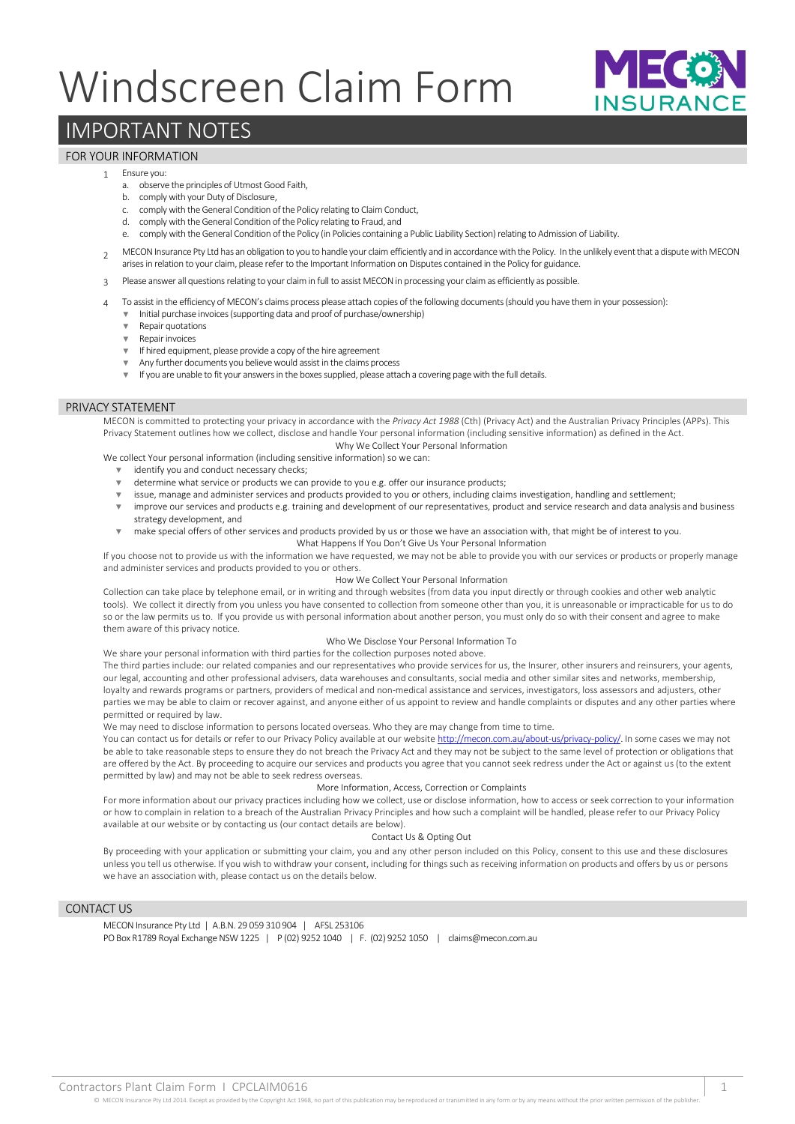# Windscreen Claim Form



## IMPORTANT NOTES

### FOR YOUR INFORMATION

#### 1 Ensure you:

- a. observe the principles of Utmost Good Faith,
- b. comply with your Duty of Disclosure,
- c. comply with the General Condition of the Policy relating to Claim Conduct, d. comply with the General Condition of the Policy relating to Fraud, and
- e. comply with the General Condition of the Policy (in Policies containing a Public Liability Section) relating to Admission of Liability.
- $\overline{2}$ MECON Insurance Pty Ltd has an obligation to you to handle your claim efficiently and in accordance with the Policy. In the unlikely event that a dispute with MECON arises in relation to your claim, please refer to the Important Information on Disputes contained in the Policy for guidance.
- 3 Please answer all questions relating to your claim in full to assist MECON in processing your claim as efficiently as possible.
- 4 To assist in the efficiency of MECON's claims process please attach copies of the following documents (should you have them in your possession):
	- Initial purchase invoices (supporting data and proof of purchase/ownership)
	- ▼ Repair quotations
	- ▼ Repair invoices
	- ▼ If hired equipment, please provide a copy of the hire agreement
	- Any further documents you believe would assist in the claims process
	- ▼ If you are unable to fit your answers in the boxes supplied, please attach a covering page with the full details.

#### PRIVACY STATEMENT

MECON is committed to protecting your privacy in accordance with the *Privacy Act 1988* (Cth) (Privacy Act) and the Australian Privacy Principles (APPs). This Privacy Statement outlines how we collect, disclose and handle Your personal information (including sensitive information) as defined in the Act.

Why We Collect Your Personal Information We collect Your personal information (including sensitive information) so we can:

- ▼ identify you and conduct necessary checks;
- ▼ determine what service or products we can provide to you e.g. offer our insurance products;
- issue, manage and administer services and products provided to you or others, including claims investigation, handling and settlement;
- ▼ improve our services and products e.g. training and development of our representatives, product and service research and data analysis and business strategy development, and
- make special offers of other services and products provided by us or those we have an association with, that might be of interest to you. What Happens If You Don't Give Us Your Personal Information

If you choose not to provide us with the information we have requested, we may not be able to provide you with our services or products or properly manage and administer services and products provided to you or others.

#### How We Collect Your Personal Information

Collection can take place by telephone email, or in writing and through websites (from data you input directly or through cookies and other web analytic tools). We collect it directly from you unless you have consented to collection from someone other than you, it is unreasonable or impracticable for us to do so or the law permits us to. If you provide us with personal information about another person, you must only do so with their consent and agree to make them aware of this privacy notice.

#### Who We Disclose Your Personal Information To

We share your personal information with third parties for the collection purposes noted above.

The third parties include: our related companies and our representatives who provide services for us, the Insurer, other insurers and reinsurers, your agents, our legal, accounting and other professional advisers, data warehouses and consultants, social media and other similar sites and networks, membership, loyalty and rewards programs or partners, providers of medical and non-medical assistance and services, investigators, loss assessors and adjusters, other parties we may be able to claim or recover against, and anyone either of us appoint to review and handle complaints or disputes and any other parties where permitted or required by law.

We may need to disclose information to persons located overseas. Who they are may change from time to time.

You can contact us for details or refer to our Privacy Policy available at our websit[e http://mecon.com.au/about-us/privacy-policy/.](http://mecon.com.au/about-us/privacy-policy/) In some cases we may not be able to take reasonable steps to ensure they do not breach the Privacy Act and they may not be subject to the same level of protection or obligations that are offered by the Act. By proceeding to acquire our services and products you agree that you cannot seek redress under the Act or against us (to the extent permitted by law) and may not be able to seek redress overseas.

#### More Information, Access, Correction or Complaints

For more information about our privacy practices including how we collect, use or disclose information, how to access or seek correction to your information or how to complain in relation to a breach of the Australian Privacy Principles and how such a complaint will be handled, please refer to our Privacy Policy available at our website or by contacting us (our contact details are below).

#### Contact Us & Opting Out

By proceeding with your application or submitting your claim, you and any other person included on this Policy, consent to this use and these disclosures unless you tell us otherwise. If you wish to withdraw your consent, including for things such as receiving information on products and offers by us or persons we have an association with, please contact us on the details below.

#### CONTACT US

MECON Insurance Pty Ltd | A.B.N. 29 059 310 904 | AFSL 253106 PO Box R1789 Royal Exchange NSW 1225 | P (02) 9252 1040 | F. (02) 9252 1050 | claims@mecon.com.au